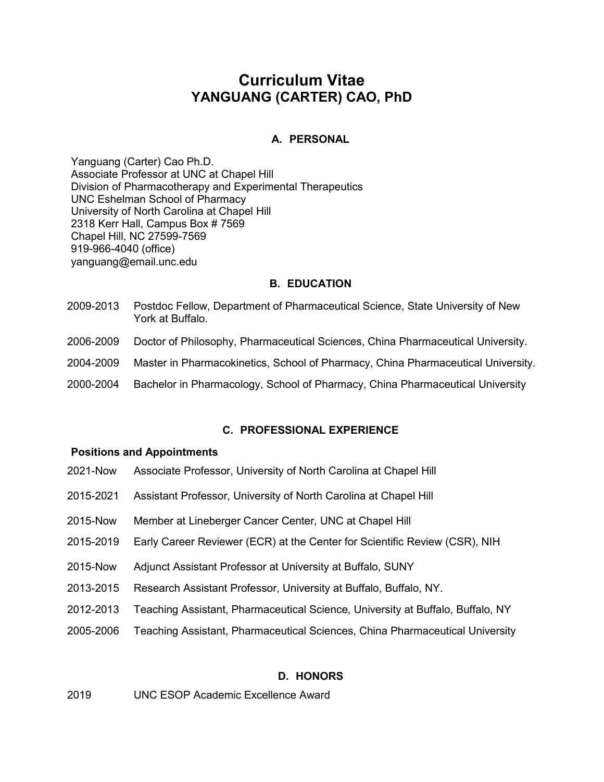# **Curriculum Vitae YANGUANG (CARTER) CAO, PhD**

#### **A. PERSONAL**

Yanguang (Carter) Cao Ph.D. Associate Professor at UNC at Chapel Hill Division of Pharmacotherapy and Experimental Therapeutics UNC Eshelman School of Pharmacy University of North Carolina at Chapel Hill 2318 Kerr Hall, Campus Box # 7569 Chapel Hill, NC 27599-7569 919-966-4040 (office) [yanguang@email.unc.edu](https://outlook.unc.edu/owa/redir.aspx?SURL=-OQLJr40d8S-JRHUvKQejZDwCZsusyEeHu_j79ds-68o3iKdRLnSCG0AYQBpAGwAdABvADoAZABhAG4AaQBlAGwALgBnAG8AbgB6AGEAbABlAHoAQAB1AG4AYwAuAGUAZAB1AA..&URL=mailto%3adaniel.gonzalez%40unc.edu)

#### **B. EDUCATION**

- 2009-2013 Postdoc Fellow, Department of Pharmaceutical Science, State University of New York at Buffalo.
- 2006-2009 Doctor of Philosophy, Pharmaceutical Sciences, China Pharmaceutical University.
- 2004-2009 Master in Pharmacokinetics, School of Pharmacy, China Pharmaceutical University.
- 2000-2004 Bachelor in Pharmacology, School of Pharmacy, China Pharmaceutical University

#### **C. PROFESSIONAL EXPERIENCE**

#### **Positions and Appointments**

- 2021-Now Associate Professor, University of North Carolina at Chapel Hill
- 2015-2021 Assistant Professor, University of North Carolina at Chapel Hill
- 2015-Now Member at Lineberger Cancer Center, UNC at Chapel Hill
- 2015-2019 Early Career Reviewer (ECR) at the Center for Scientific Review (CSR), NIH
- 2015-Now Adjunct Assistant Professor at University at Buffalo, SUNY
- 2013-2015 Research Assistant Professor, University at Buffalo, Buffalo, NY.
- 2012-2013 Teaching Assistant, Pharmaceutical Science, University at Buffalo, Buffalo, NY
- 2005-2006 Teaching Assistant, Pharmaceutical Sciences, China Pharmaceutical University

#### **D. HONORS**

2019 UNC ESOP Academic Excellence Award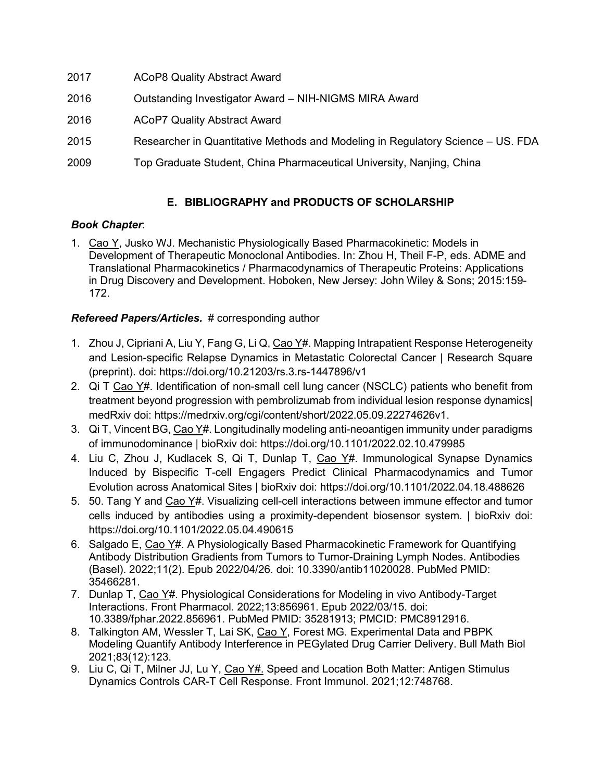- 2017 ACoP8 Quality Abstract Award
- 2016 Outstanding Investigator Award NIH-NIGMS MIRA Award
- 2016 ACoP7 Quality Abstract Award
- 2015 Researcher in Quantitative Methods and Modeling in Regulatory Science US. FDA
- 2009 Top Graduate Student, China Pharmaceutical University, Nanjing, China

# **E. BIBLIOGRAPHY and PRODUCTS OF SCHOLARSHIP**

### *Book Chapter*:

1. Cao Y, Jusko WJ. Mechanistic Physiologically Based Pharmacokinetic: Models in Development of Therapeutic Monoclonal Antibodies. In: Zhou H, Theil F-P, eds. ADME and Translational Pharmacokinetics / Pharmacodynamics of Therapeutic Proteins: Applications in Drug Discovery and Development. Hoboken, New Jersey: John Wiley & Sons; 2015:159- 172.

## *Refereed Papers/Articles.* # corresponding author

- 1. Zhou J, Cipriani A, Liu Y, Fang G, Li Q, Cao Y#. Mapping Intrapatient Response Heterogeneity and Lesion-specific Relapse Dynamics in Metastatic Colorectal Cancer | Research Square (preprint). doi: https://doi.org/10.21203/rs.3.rs-1447896/v1
- 2. Qi T Cao Y#. Identification of non-small cell lung cancer (NSCLC) patients who benefit from treatment beyond progression with pembrolizumab from individual lesion response dynamics| medRxiv doi: https://medrxiv.org/cgi/content/short/2022.05.09.22274626v1.
- 3. Qi T, Vincent BG, Cao Y#. Longitudinally modeling anti-neoantigen immunity under paradigms of immunodominance | bioRxiv doi: https://doi.org/10.1101/2022.02.10.479985
- 4. Liu C, Zhou J, Kudlacek S, Qi T, Dunlap T, Cao Y#. Immunological Synapse Dynamics Induced by Bispecific T-cell Engagers Predict Clinical Pharmacodynamics and Tumor Evolution across Anatomical Sites | bioRxiv doi: https://doi.org/10.1101/2022.04.18.488626
- 5. 50. Tang Y and Cao Y#. Visualizing cell-cell interactions between immune effector and tumor cells induced by antibodies using a proximity-dependent biosensor system. | bioRxiv doi: https://doi.org/10.1101/2022.05.04.490615
- 6. Salgado E, Cao Y#. A Physiologically Based Pharmacokinetic Framework for Quantifying Antibody Distribution Gradients from Tumors to Tumor-Draining Lymph Nodes. Antibodies (Basel). 2022;11(2). Epub 2022/04/26. doi: 10.3390/antib11020028. PubMed PMID: 35466281.
- 7. Dunlap T, Cao Y#. Physiological Considerations for Modeling in vivo Antibody-Target Interactions. Front Pharmacol. 2022;13:856961. Epub 2022/03/15. doi: 10.3389/fphar.2022.856961. PubMed PMID: 35281913; PMCID: PMC8912916.
- 8. Talkington AM, Wessler T, Lai SK, Cao Y, Forest MG. Experimental Data and PBPK Modeling Quantify Antibody Interference in PEGylated Drug Carrier Delivery. Bull Math Biol 2021;83(12):123.
- 9. Liu C. Qi T, Milner JJ, Lu Y, Cao Y#. Speed and Location Both Matter: Antigen Stimulus Dynamics Controls CAR-T Cell Response. Front Immunol. 2021;12:748768.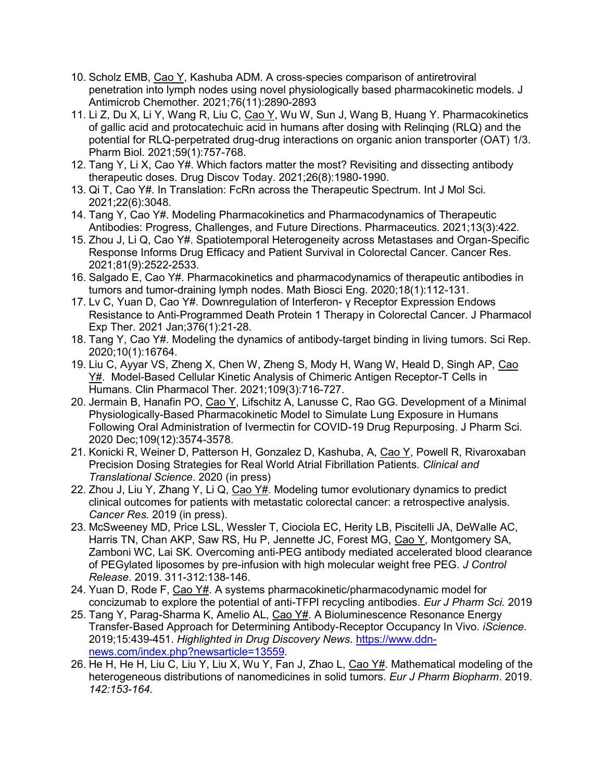- 10. Scholz EMB, Cao Y, Kashuba ADM. A cross-species comparison of antiretroviral penetration into lymph nodes using novel physiologically based pharmacokinetic models. J Antimicrob Chemother. 2021;76(11):2890-2893
- 11. Li Z, Du X, Li Y, Wang R, Liu C, Cao Y, Wu W, Sun J, Wang B, Huang Y. Pharmacokinetics of gallic acid and protocatechuic acid in humans after dosing with Relinqing (RLQ) and the potential for RLQ-perpetrated drug-drug interactions on organic anion transporter (OAT) 1/3. Pharm Biol. 2021;59(1):757-768.
- 12. Tang Y, Li X, Cao Y#. Which factors matter the most? Revisiting and dissecting antibody therapeutic doses. Drug Discov Today. 2021;26(8):1980-1990.
- 13. Qi T, Cao Y#. In Translation: FcRn across the Therapeutic Spectrum. Int J Mol Sci. 2021;22(6):3048.
- 14. Tang Y, Cao Y#. Modeling Pharmacokinetics and Pharmacodynamics of Therapeutic Antibodies: Progress, Challenges, and Future Directions. Pharmaceutics. 2021;13(3):422.
- 15. Zhou J, Li Q, Cao Y#. Spatiotemporal Heterogeneity across Metastases and Organ-Specific Response Informs Drug Efficacy and Patient Survival in Colorectal Cancer. Cancer Res. 2021;81(9):2522-2533.
- 16. Salgado E, Cao Y#. Pharmacokinetics and pharmacodynamics of therapeutic antibodies in tumors and tumor-draining lymph nodes. Math Biosci Eng. 2020;18(1):112-131.
- 17. Lv C, Yuan D, Cao Y#. Downregulation of Interferon- γ Receptor Expression Endows Resistance to Anti-Programmed Death Protein 1 Therapy in Colorectal Cancer. J Pharmacol Exp Ther. 2021 Jan;376(1):21-28.
- 18. Tang Y, Cao Y#. Modeling the dynamics of antibody-target binding in living tumors. Sci Rep. 2020;10(1):16764.
- 19. Liu C, Ayyar VS, Zheng X, Chen W, Zheng S, Mody H, Wang W, Heald D, Singh AP, Cao Y#. Model-Based Cellular Kinetic Analysis of Chimeric Antigen Receptor-T Cells in Humans. Clin Pharmacol Ther. 2021;109(3):716-727.
- 20. Jermain B, Hanafin PO, Cao Y, Lifschitz A, Lanusse C, Rao GG. Development of a Minimal Physiologically-Based Pharmacokinetic Model to Simulate Lung Exposure in Humans Following Oral Administration of Ivermectin for COVID-19 Drug Repurposing. J Pharm Sci. 2020 Dec;109(12):3574-3578.
- 21. Konicki R, Weiner D, Patterson H, Gonzalez D, Kashuba, A, Cao Y, Powell R, Rivaroxaban Precision Dosing Strategies for Real World Atrial Fibrillation Patients. *Clinical and Translational Science*. 2020 (in press)
- 22. Zhou J, Liu Y, Zhang Y, Li Q, Cao Y#. [Modeling tumor evolutionary dynamics to predict](https://www.ncbi.nlm.nih.gov/pubmed/31676575/)  [clinical outcomes for patients with metastatic colorectal cancer: a retrospective analysis.](https://www.ncbi.nlm.nih.gov/pubmed/31676575/)  *Cancer Res*. 2019 (in press).
- 23. McSweeney MD, Price LSL, Wessler T, Ciociola EC, Herity LB, Piscitelli JA, DeWalle AC, Harris TN, Chan AKP, Saw RS, Hu P, Jennette JC, Forest MG, Cao Y, Montgomery SA, Zamboni WC, Lai SK. [Overcoming anti-PEG antibody mediated accelerated blood clearance](https://www.ncbi.nlm.nih.gov/pubmed/31454530/)  [of PEGylated liposomes by pre-infusion with high molecular weight free PEG.](https://www.ncbi.nlm.nih.gov/pubmed/31454530/) *J Control Release*. 2019. 311-312:138-146.
- 24. Yuan D, Rode F, Cao Y#. [A systems pharmacokinetic/pharmacodynamic model for](https://www.sciencedirect.com/science/article/pii/S0928098719302969)  [concizumab to explore the potential of anti-TFPI recycling antibodies.](https://www.sciencedirect.com/science/article/pii/S0928098719302969) *Eur J Pharm Sci.* 2019
- 25. Tang Y, Parag-Sharma K, Amelio AL, Cao Y#. [A Bioluminescence Resonance Energy](https://www.ncbi.nlm.nih.gov/pubmed/31121469)  [Transfer-Based Approach for Determining Antibody-Receptor Occupancy In](https://www.ncbi.nlm.nih.gov/pubmed/31121469) Vivo. *iScience*. 2019;15:439-451. *Highlighted in Drug Discovery News.* [https://www.ddn](https://www.ddn-news.com/index.php?newsarticle=13559)[news.com/index.php?newsarticle=13559.](https://www.ddn-news.com/index.php?newsarticle=13559)
- 26. He H, He H, Liu C, Liu Y, Liu X, Wu Y, Fan J, Zhao L, Cao Y#, Mathematical modeling of the [heterogeneous distributions of nanomedicines in solid tumors.](https://www.ncbi.nlm.nih.gov/pubmed/31226367) *Eur J Pharm Biopharm*. 2019. *142:153-164.*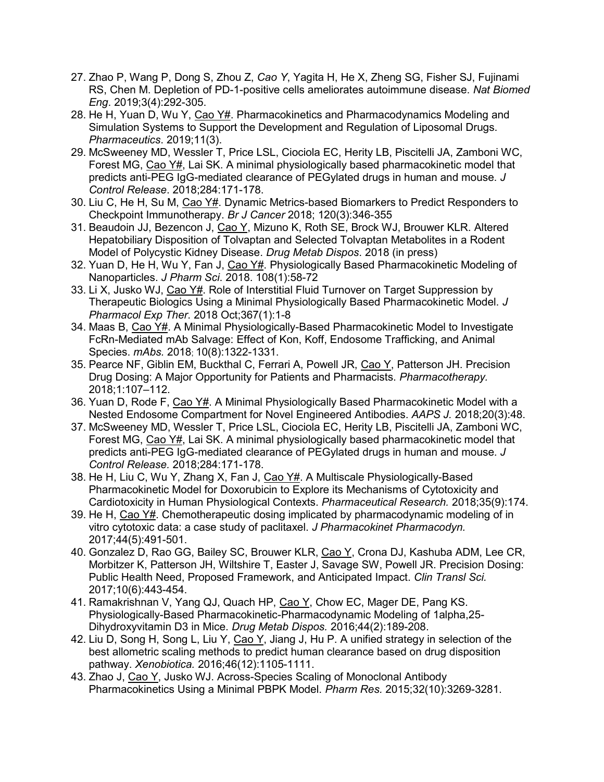- 27. Zhao P, Wang P, Dong S, Zhou Z, *Cao Y*, Yagita H, He X, Zheng SG, Fisher SJ, Fujinami RS, Chen M. [Depletion of PD-1-positive cells ameliorates autoimmune disease.](https://www.ncbi.nlm.nih.gov/pubmed/30952980) *Nat Biomed Eng*. 2019;3(4):292-305.
- 28. He H, Yuan D, Wu Y, Cao Y#. Pharmacokinetics and Pharmacodynamics Modeling and [Simulation Systems to Support the Development and Regulation of Liposomal Drugs.](https://www.ncbi.nlm.nih.gov/pubmed/30866479) *Pharmaceutics*. 2019;11(3).
- 29. [McSweeney MD,](https://www.ncbi.nlm.nih.gov/pubmed/?term=McSweeney%20MD%5BAuthor%5D&cauthor=true&cauthor_uid=29879519) [Wessler T,](https://www.ncbi.nlm.nih.gov/pubmed/?term=Wessler%20T%5BAuthor%5D&cauthor=true&cauthor_uid=29879519) [Price LSL,](https://www.ncbi.nlm.nih.gov/pubmed/?term=Price%20LSL%5BAuthor%5D&cauthor=true&cauthor_uid=29879519) [Ciociola EC,](https://www.ncbi.nlm.nih.gov/pubmed/?term=Ciociola%20EC%5BAuthor%5D&cauthor=true&cauthor_uid=29879519) [Herity LB,](https://www.ncbi.nlm.nih.gov/pubmed/?term=Herity%20LB%5BAuthor%5D&cauthor=true&cauthor_uid=29879519) [Piscitelli JA,](https://www.ncbi.nlm.nih.gov/pubmed/?term=Piscitelli%20JA%5BAuthor%5D&cauthor=true&cauthor_uid=29879519) [Zamboni WC,](https://www.ncbi.nlm.nih.gov/pubmed/?term=Zamboni%20WC%5BAuthor%5D&cauthor=true&cauthor_uid=29879519) [Forest MG,](https://www.ncbi.nlm.nih.gov/pubmed/?term=Forest%20MG%5BAuthor%5D&cauthor=true&cauthor_uid=29879519) [Cao Y#](https://www.ncbi.nlm.nih.gov/pubmed/?term=Cao%20Y%5BAuthor%5D&cauthor=true&cauthor_uid=29879519), [Lai SK.](https://www.ncbi.nlm.nih.gov/pubmed/?term=Lai%20SK%5BAuthor%5D&cauthor=true&cauthor_uid=29879519) A minimal physiologically based pharmacokinetic model that predicts anti-PEG IgG-mediated clearance of PEGylated drugs in human and mouse. *[J](https://www.ncbi.nlm.nih.gov/pubmed/?term=lai+sk+and+cao+y)  [Control Release](https://www.ncbi.nlm.nih.gov/pubmed/?term=lai+sk+and+cao+y)*. 2018;284:171-178.
- 30. Liu C, He H, Su M, Cao Y#. Dynamic Metrics-based Biomarkers to Predict Responders to Checkpoint Immunotherapy. *Br J Cancer* 2018; 120(3):346-355
- 31. Beaudoin JJ, Bezencon J, Cao Y, Mizuno K, Roth SE, Brock WJ, Brouwer KLR. [Altered](https://www.ncbi.nlm.nih.gov/pubmed/30504136)  [Hepatobiliary Disposition of Tolvaptan and Selected Tolvaptan Metabolites in a Rodent](https://www.ncbi.nlm.nih.gov/pubmed/30504136)  [Model of Polycystic Kidney Disease.](https://www.ncbi.nlm.nih.gov/pubmed/30504136) *Drug Metab Dispos*. 2018 (in press)
- 32. Yuan D, He H, Wu Y, Fan J, Cao Y#. [Physiologically Based Pharmacokinetic Modeling of](https://www.ncbi.nlm.nih.gov/pubmed/30385282)  [Nanoparticles.](https://www.ncbi.nlm.nih.gov/pubmed/30385282) *J Pharm Sci*. 2018. 108(1):58-72
- 33. Li X, Jusko WJ, Cao Y#. [Role of Interstitial Fluid Turnover on Target Suppression by](https://www.ncbi.nlm.nih.gov/pubmed/30002096)  [Therapeutic Biologics Using a Minimal Physiologically Based Pharmacokinetic Model.](https://www.ncbi.nlm.nih.gov/pubmed/30002096) *J Pharmacol Exp Ther*. 2018 Oct;367(1):1-8
- 34. Maas B, Cao Y#. A Minimal Physiologically-Based Pharmacokinetic Model to Investigate FcRn-Mediated mAb Salvage: Effect of Kon, Koff, Endosome Trafficking, and Animal Species. *mAbs.* 2018; 10(8):1322-1331.
- 35. Pearce NF, Giblin EM, Buckthal C, Ferrari A, Powell JR, Cao Y, Patterson JH. Precision Drug Dosing: A Major Opportunity for Patients and Pharmacists. *Pharmacotherapy.*  2018;1:107–112.
- 36. Yuan D, Rode F, Cao Y#. A Minimal Physiologically Based Pharmacokinetic Model with a Nested Endosome Compartment for Novel Engineered Antibodies. *AAPS J.* 2018;20(3):48.
- 37. McSweeney MD, Wessler T, Price LSL, Ciociola EC, Herity LB, Piscitelli JA, Zamboni WC, Forest MG, Cao Y#, Lai SK. A minimal physiologically based pharmacokinetic model that predicts anti-PEG IgG-mediated clearance of PEGylated drugs in human and mouse. *J Control Release.* 2018;284:171-178.
- 38. He H, Liu C, Wu Y, Zhang X, Fan J, Cao Y#. A Multiscale Physiologically-Based Pharmacokinetic Model for Doxorubicin to Explore its Mechanisms of Cytotoxicity and Cardiotoxicity in Human Physiological Contexts. *Pharmaceutical Research.* 2018;35(9):174.
- 39. He H, Cao Y#. Chemotherapeutic dosing implicated by pharmacodynamic modeling of in vitro cytotoxic data: a case study of paclitaxel. *J Pharmacokinet Pharmacodyn.*  2017;44(5):491-501.
- 40. Gonzalez D, Rao GG, Bailey SC, Brouwer KLR, Cao Y, Crona DJ, Kashuba ADM, Lee CR, Morbitzer K, Patterson JH, Wiltshire T, Easter J, Savage SW, Powell JR. Precision Dosing: Public Health Need, Proposed Framework, and Anticipated Impact. *Clin Transl Sci.*  2017;10(6):443-454.
- 41. Ramakrishnan V, Yang QJ, Quach HP, Cao Y, Chow EC, Mager DE, Pang KS. Physiologically-Based Pharmacokinetic-Pharmacodynamic Modeling of 1alpha,25- Dihydroxyvitamin D3 in Mice. *Drug Metab Dispos.* 2016;44(2):189-208.
- 42. Liu D, Song H, Song L, Liu Y, Cao Y, Jiang J, Hu P. A unified strategy in selection of the best allometric scaling methods to predict human clearance based on drug disposition pathway. *Xenobiotica.* 2016;46(12):1105-1111.
- 43. Zhao J, Cao Y, Jusko WJ. Across-Species Scaling of Monoclonal Antibody Pharmacokinetics Using a Minimal PBPK Model. *Pharm Res.* 2015;32(10):3269-3281.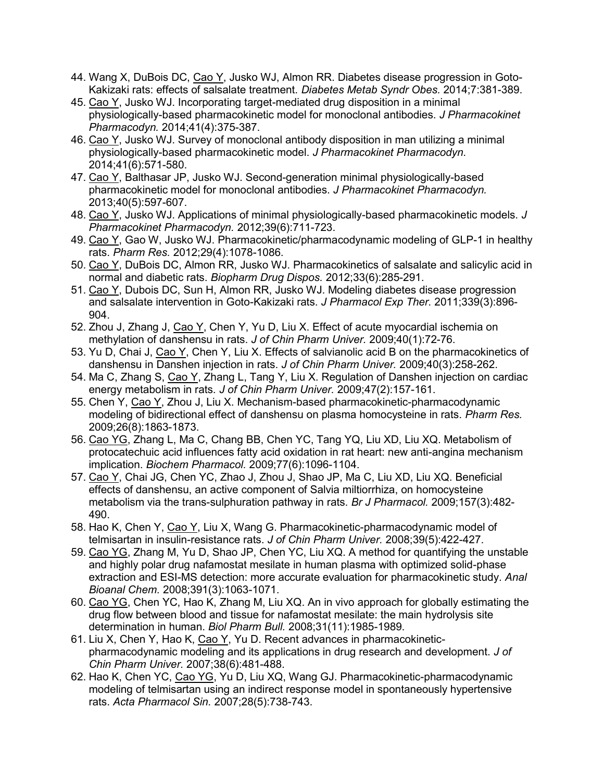- 44. Wang X, DuBois DC, Cao Y, Jusko WJ, Almon RR. Diabetes disease progression in Goto-Kakizaki rats: effects of salsalate treatment. *Diabetes Metab Syndr Obes.* 2014;7:381-389.
- 45. Cao Y, Jusko WJ. Incorporating target-mediated drug disposition in a minimal physiologically-based pharmacokinetic model for monoclonal antibodies. *J Pharmacokinet Pharmacodyn.* 2014;41(4):375-387.
- 46. Cao Y, Jusko WJ. Survey of monoclonal antibody disposition in man utilizing a minimal physiologically-based pharmacokinetic model. *J Pharmacokinet Pharmacodyn.*  2014;41(6):571-580.
- 47. Cao Y, Balthasar JP, Jusko WJ. Second-generation minimal physiologically-based pharmacokinetic model for monoclonal antibodies. *J Pharmacokinet Pharmacodyn.*  2013;40(5):597-607.
- 48. Cao Y, Jusko WJ. Applications of minimal physiologically-based pharmacokinetic models. *J Pharmacokinet Pharmacodyn.* 2012;39(6):711-723.
- 49. Cao Y, Gao W, Jusko WJ. Pharmacokinetic/pharmacodynamic modeling of GLP-1 in healthy rats. *Pharm Res.* 2012;29(4):1078-1086.
- 50. Cao Y, DuBois DC, Almon RR, Jusko WJ. Pharmacokinetics of salsalate and salicylic acid in normal and diabetic rats. *Biopharm Drug Dispos.* 2012;33(6):285-291.
- 51. Cao Y, Dubois DC, Sun H, Almon RR, Jusko WJ. Modeling diabetes disease progression and salsalate intervention in Goto-Kakizaki rats. *J Pharmacol Exp Ther.* 2011;339(3):896- 904.
- 52. Zhou J, Zhang J, Cao Y, Chen Y, Yu D, Liu X. Effect of acute myocardial ischemia on methylation of danshensu in rats. *J of Chin Pharm Univer.* 2009;40(1):72-76.
- 53. Yu D, Chai J, Cao Y, Chen Y, Liu X. Effects of salvianolic acid B on the pharmacokinetics of danshensu in Danshen injection in rats. *J of Chin Pharm Univer.* 2009;40(3):258-262.
- 54. Ma C, Zhang S, Cao Y, Zhang L, Tang Y, Liu X. Regulation of Danshen injection on cardiac energy metabolism in rats. *J of Chin Pharm Univer.* 2009;47(2):157-161.
- 55. Chen Y, Cao Y, Zhou J, Liu X. Mechanism-based pharmacokinetic-pharmacodynamic modeling of bidirectional effect of danshensu on plasma homocysteine in rats. *Pharm Res.*  2009;26(8):1863-1873.
- 56. Cao YG, Zhang L, Ma C, Chang BB, Chen YC, Tang YQ, Liu XD, Liu XQ. Metabolism of protocatechuic acid influences fatty acid oxidation in rat heart: new anti-angina mechanism implication. *Biochem Pharmacol.* 2009;77(6):1096-1104.
- 57. Cao Y, Chai JG, Chen YC, Zhao J, Zhou J, Shao JP, Ma C, Liu XD, Liu XQ. Beneficial effects of danshensu, an active component of Salvia miltiorrhiza, on homocysteine metabolism via the trans-sulphuration pathway in rats. *Br J Pharmacol.* 2009;157(3):482- 490.
- 58. Hao K, Chen Y, Cao Y, Liu X, Wang G. Pharmacokinetic-pharmacodynamic model of telmisartan in insulin-resistance rats. *J of Chin Pharm Univer.* 2008;39(5):422-427.
- 59. Cao YG, Zhang M, Yu D, Shao JP, Chen YC, Liu XQ. A method for quantifying the unstable and highly polar drug nafamostat mesilate in human plasma with optimized solid-phase extraction and ESI-MS detection: more accurate evaluation for pharmacokinetic study. *Anal Bioanal Chem.* 2008;391(3):1063-1071.
- 60. Cao YG, Chen YC, Hao K, Zhang M, Liu XQ. An in vivo approach for globally estimating the drug flow between blood and tissue for nafamostat mesilate: the main hydrolysis site determination in human. *Biol Pharm Bull.* 2008;31(11):1985-1989.
- 61. Liu X, Chen Y, Hao K, Cao Y, Yu D. Recent advances in pharmacokineticpharmacodynamic modeling and its applications in drug research and development. *J of Chin Pharm Univer.* 2007;38(6):481-488.
- 62. Hao K, Chen YC, Cao YG, Yu D, Liu XQ, Wang GJ. Pharmacokinetic-pharmacodynamic modeling of telmisartan using an indirect response model in spontaneously hypertensive rats. *Acta Pharmacol Sin.* 2007;28(5):738-743.